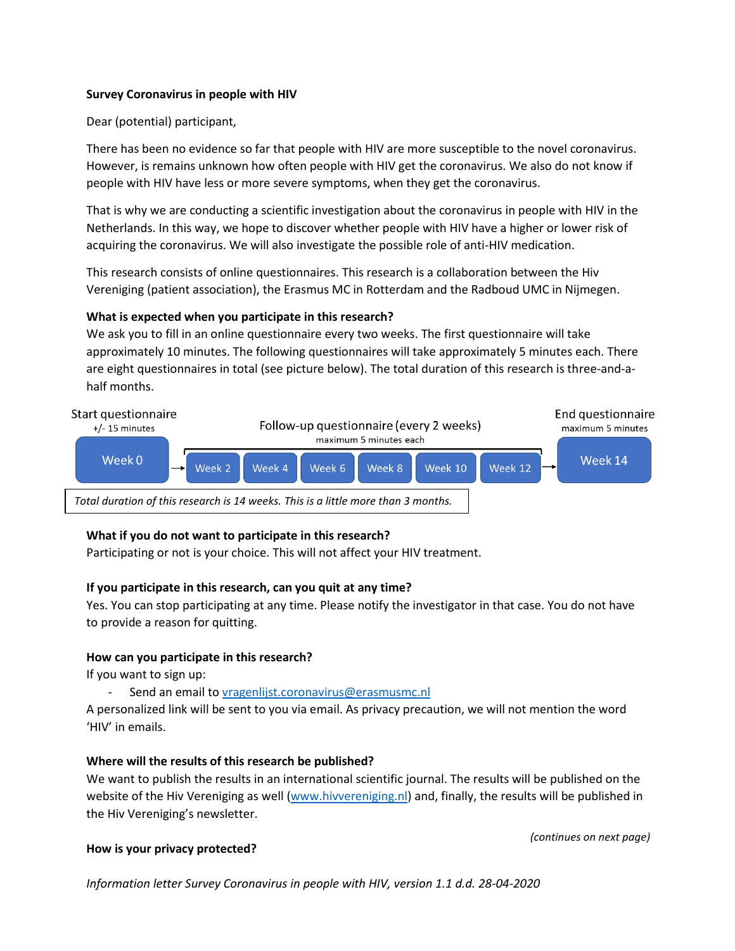### **Survey Coronavirus in people with HIV**

Dear (potential) participant,

There has been no evidence so far that people with HIV are more susceptible to the novel coronavirus. However, is remains unknown how often people with HIV get the coronavirus. We also do not know if people with HIV have less or more severe symptoms, when they get the coronavirus.

That is why we are conducting a scientific investigation about the coronavirus in people with HIV in the Netherlands. In this way, we hope to discover whether people with HIV have a higher or lower risk of acquiring the coronavirus. We will also investigate the possible role of anti-HIV medication.

This research consists of online questionnaires. This research is a collaboration between the Hiv Vereniging (patient association), the Erasmus MC in Rotterdam and the Radboud UMC in Nijmegen.

# **What is expected when you participate in this research?**

We ask you to fill in an online questionnaire every two weeks. The first questionnaire will take approximately 10 minutes. The following questionnaires will take approximately 5 minutes each. There are eight questionnaires in total (see picture below). The total duration of this research is three-and-ahalf months.



# **What if you do not want to participate in this research?**

Participating or not is your choice. This will not affect your HIV treatment.

# **If you participate in this research, can you quit at any time?**

Yes. You can stop participating at any time. Please notify the investigator in that case. You do not have to provide a reason for quitting.

# **How can you participate in this research?**

If you want to sign up:

Send an email to *vragenlijst.coronavirus@erasmusmc.nl* 

A personalized link will be sent to you via email. As privacy precaution, we will not mention the word 'HIV' in emails.

# **Where will the results of this research be published?**

We want to publish the results in an international scientific journal. The results will be published on the website of the Hiv Vereniging as well [\(www.hivvereniging.nl\)](http://www.hivvereniging.nl/) and, finally, the results will be published in the Hiv Vereniging's newsletter.

### **How is your privacy protected?**

*(continues on next page)*

*Information letter Survey Coronavirus in people with HIV, version 1.1 d.d. 28-04-2020*